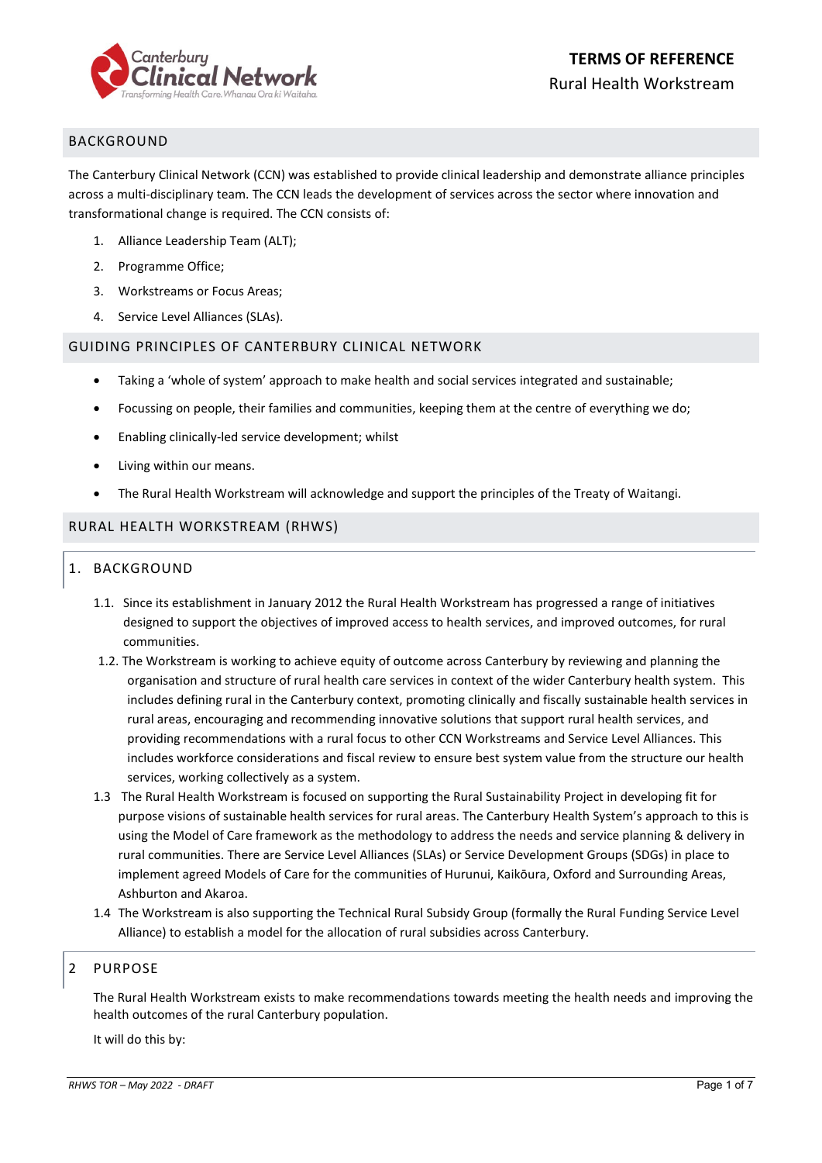

# BACKGROUND

The Canterbury Clinical Network (CCN) was established to provide clinical leadership and demonstrate alliance principles across a multi-disciplinary team. The CCN leads the development of services across the sector where innovation and transformational change is required. The CCN consists of:

- 1. Alliance Leadership Team (ALT);
- 2. Programme Office;
- 3. Workstreams or Focus Areas;
- 4. Service Level Alliances (SLAs).

#### GUIDING PRINCIPLES OF CANTERBURY CLINICAL NETWORK

- Taking a 'whole of system' approach to make health and social services integrated and sustainable;
- Focussing on people, their families and communities, keeping them at the centre of everything we do;
- Enabling clinically-led service development; whilst
- Living within our means.
- The Rural Health Workstream will acknowledge and support the principles of the Treaty of Waitangi.

## RURAL HEALTH WORKSTREAM (RHWS)

## 1. BACKGROUND

- 1.1. Since its establishment in January 2012 the Rural Health Workstream has progressed a range of initiatives designed to support the objectives of improved access to health services, and improved outcomes, for rural communities.
- 1.2. The Workstream is working to achieve equity of outcome across Canterbury by reviewing and planning the organisation and structure of rural health care services in context of the wider Canterbury health system. This includes defining rural in the Canterbury context, promoting clinically and fiscally sustainable health services in rural areas, encouraging and recommending innovative solutions that support rural health services, and providing recommendations with a rural focus to other CCN Workstreams and Service Level Alliances. This includes workforce considerations and fiscal review to ensure best system value from the structure our health services, working collectively as a system.
- 1.3 The Rural Health Workstream is focused on supporting the Rural Sustainability Project in developing fit for purpose visions of sustainable health services for rural areas. The Canterbury Health System's approach to this is using the Model of Care framework as the methodology to address the needs and service planning & delivery in rural communities. There are Service Level Alliances (SLAs) or Service Development Groups (SDGs) in place to implement agreed Models of Care for the communities of Hurunui, Kaikōura, Oxford and Surrounding Areas, Ashburton and Akaroa.
- 1.4 The Workstream is also supporting the Technical Rural Subsidy Group (formally the Rural Funding Service Level Alliance) to establish a model for the allocation of rural subsidies across Canterbury.

## 2 PURPOSE

The Rural Health Workstream exists to make recommendations towards meeting the health needs and improving the health outcomes of the rural Canterbury population.

It will do this by: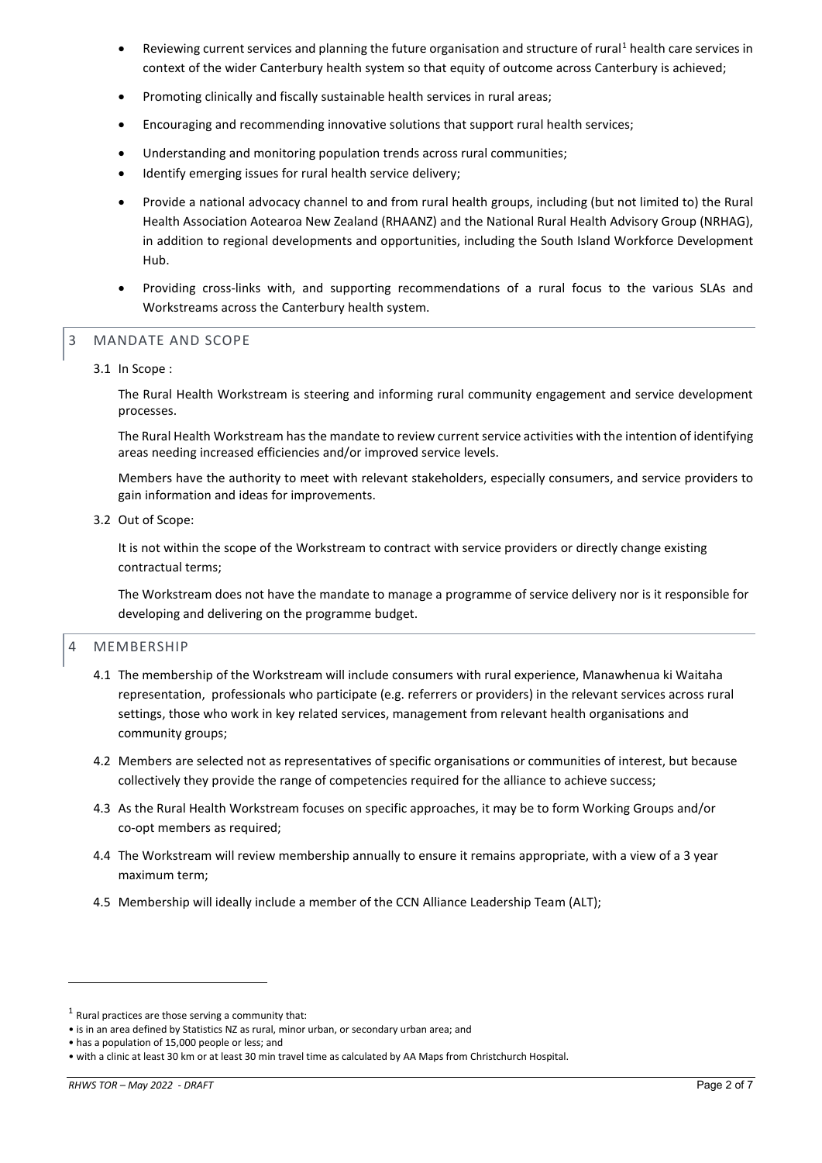- Reviewing current services and planning the future organisation and structure of rural<sup>[1](#page-1-0)</sup> health care services in context of the wider Canterbury health system so that equity of outcome across Canterbury is achieved;
- Promoting clinically and fiscally sustainable health services in rural areas;
- Encouraging and recommending innovative solutions that support rural health services;
- Understanding and monitoring population trends across rural communities;
- Identify emerging issues for rural health service delivery;
- Provide a national advocacy channel to and from rural health groups, including (but not limited to) the Rural Health Association Aotearoa New Zealand (RHAANZ) and the National Rural Health Advisory Group (NRHAG), in addition to regional developments and opportunities, including the South Island Workforce Development Hub.
- Providing cross-links with, and supporting recommendations of a rural focus to the various SLAs and Workstreams across the Canterbury health system.

## 3 MANDATE AND SCOPE

3.1 In Scope :

The Rural Health Workstream is steering and informing rural community engagement and service development processes.

The Rural Health Workstream has the mandate to review current service activities with the intention of identifying areas needing increased efficiencies and/or improved service levels.

Members have the authority to meet with relevant stakeholders, especially consumers, and service providers to gain information and ideas for improvements.

3.2 Out of Scope:

It is not within the scope of the Workstream to contract with service providers or directly change existing contractual terms;

The Workstream does not have the mandate to manage a programme of service delivery nor is it responsible for developing and delivering on the programme budget.

## 4 MEMBERSHIP

- 4.1 The membership of the Workstream will include consumers with rural experience, Manawhenua ki Waitaha representation, professionals who participate (e.g. referrers or providers) in the relevant services across rural settings, those who work in key related services, management from relevant health organisations and community groups;
- 4.2 Members are selected not as representatives of specific organisations or communities of interest, but because collectively they provide the range of competencies required for the alliance to achieve success;
- 4.3 As the Rural Health Workstream focuses on specific approaches, it may be to form Working Groups and/or co-opt members as required;
- 4.4 The Workstream will review membership annually to ensure it remains appropriate, with a view of a 3 year maximum term;
- 4.5 Membership will ideally include a member of the CCN Alliance Leadership Team (ALT);

<span id="page-1-0"></span> $1$  Rural practices are those serving a community that:

<sup>•</sup> is in an area defined by Statistics NZ as rural, minor urban, or secondary urban area; and

<sup>•</sup> has a population of 15,000 people or less; and

<sup>•</sup> with a clinic at least 30 km or at least 30 min travel time as calculated by AA Maps from Christchurch Hospital.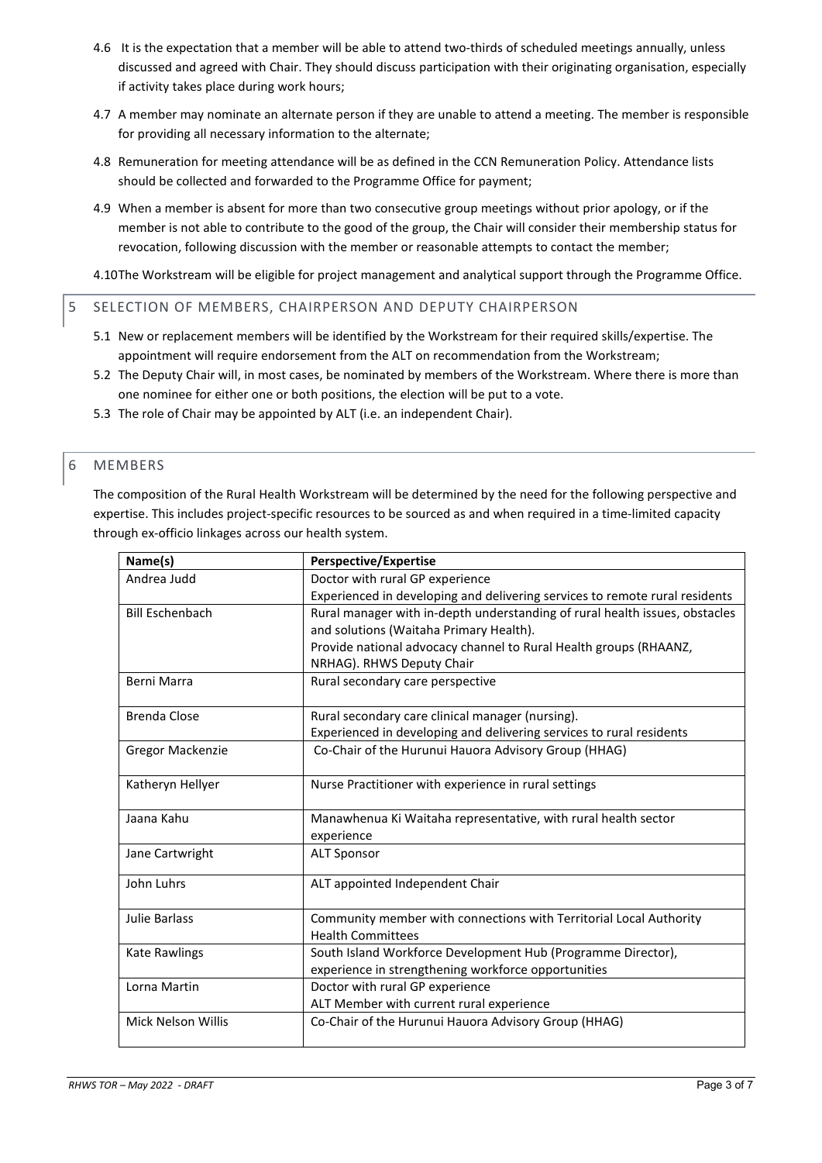- 4.6 It is the expectation that a member will be able to attend two-thirds of scheduled meetings annually, unless discussed and agreed with Chair. They should discuss participation with their originating organisation, especially if activity takes place during work hours;
- 4.7 A member may nominate an alternate person if they are unable to attend a meeting. The member is responsible for providing all necessary information to the alternate;
- 4.8 Remuneration for meeting attendance will be as defined in the CCN Remuneration Policy. Attendance lists should be collected and forwarded to the Programme Office for payment;
- 4.9 When a member is absent for more than two consecutive group meetings without prior apology, or if the member is not able to contribute to the good of the group, the Chair will consider their membership status for revocation, following discussion with the member or reasonable attempts to contact the member;

4.10The Workstream will be eligible for project management and analytical support through the Programme Office.

## 5 SELECTION OF MEMBERS, CHAIRPERSON AND DEPUTY CHAIRPERSON

- 5.1 New or replacement members will be identified by the Workstream for their required skills/expertise. The appointment will require endorsement from the ALT on recommendation from the Workstream;
- 5.2 The Deputy Chair will, in most cases, be nominated by members of the Workstream. Where there is more than one nominee for either one or both positions, the election will be put to a vote.
- 5.3 The role of Chair may be appointed by ALT (i.e. an independent Chair).

## 6 MEMBERS

The composition of the Rural Health Workstream will be determined by the need for the following perspective and expertise. This includes project-specific resources to be sourced as and when required in a time-limited capacity through ex-officio linkages across our health system.

| Name(s)                | <b>Perspective/Expertise</b>                                                |
|------------------------|-----------------------------------------------------------------------------|
| Andrea Judd            | Doctor with rural GP experience                                             |
|                        | Experienced in developing and delivering services to remote rural residents |
| <b>Bill Eschenbach</b> | Rural manager with in-depth understanding of rural health issues, obstacles |
|                        | and solutions (Waitaha Primary Health).                                     |
|                        | Provide national advocacy channel to Rural Health groups (RHAANZ,           |
|                        | NRHAG). RHWS Deputy Chair                                                   |
| Berni Marra            | Rural secondary care perspective                                            |
|                        |                                                                             |
| <b>Brenda Close</b>    | Rural secondary care clinical manager (nursing).                            |
|                        | Experienced in developing and delivering services to rural residents        |
| Gregor Mackenzie       | Co-Chair of the Hurunui Hauora Advisory Group (HHAG)                        |
|                        |                                                                             |
| Katheryn Hellyer       | Nurse Practitioner with experience in rural settings                        |
|                        |                                                                             |
| Jaana Kahu             | Manawhenua Ki Waitaha representative, with rural health sector              |
|                        | experience                                                                  |
| Jane Cartwright        | <b>ALT Sponsor</b>                                                          |
| John Luhrs             | ALT appointed Independent Chair                                             |
|                        |                                                                             |
| Julie Barlass          | Community member with connections with Territorial Local Authority          |
|                        | <b>Health Committees</b>                                                    |
| <b>Kate Rawlings</b>   | South Island Workforce Development Hub (Programme Director),                |
|                        | experience in strengthening workforce opportunities                         |
| Lorna Martin           | Doctor with rural GP experience                                             |
|                        | ALT Member with current rural experience                                    |
| Mick Nelson Willis     | Co-Chair of the Hurunui Hauora Advisory Group (HHAG)                        |
|                        |                                                                             |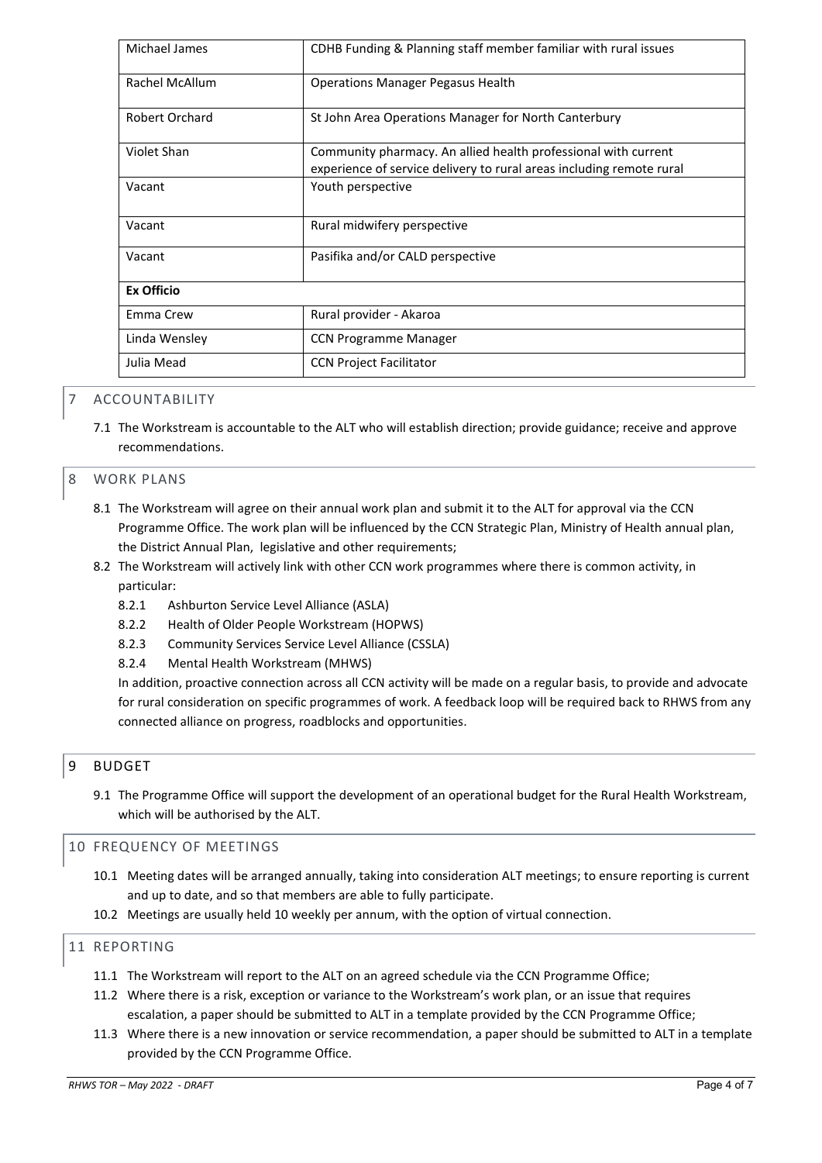| Michael James         | CDHB Funding & Planning staff member familiar with rural issues                                                                        |
|-----------------------|----------------------------------------------------------------------------------------------------------------------------------------|
| <b>Rachel McAllum</b> | <b>Operations Manager Pegasus Health</b>                                                                                               |
| Robert Orchard        | St John Area Operations Manager for North Canterbury                                                                                   |
| Violet Shan           | Community pharmacy. An allied health professional with current<br>experience of service delivery to rural areas including remote rural |
| Vacant                | Youth perspective                                                                                                                      |
| Vacant                | Rural midwifery perspective                                                                                                            |
| Vacant                | Pasifika and/or CALD perspective                                                                                                       |
| <b>Ex Officio</b>     |                                                                                                                                        |
| Emma Crew             | Rural provider - Akaroa                                                                                                                |
| Linda Wensley         | <b>CCN Programme Manager</b>                                                                                                           |
| Julia Mead            | <b>CCN Project Facilitator</b>                                                                                                         |

## **ACCOUNTABILITY**

7.1 The Workstream is accountable to the ALT who will establish direction; provide guidance; receive and approve recommendations.

## 8 WORK PLANS

- 8.1 The Workstream will agree on their annual work plan and submit it to the ALT for approval via the CCN Programme Office. The work plan will be influenced by the CCN Strategic Plan, Ministry of Health annual plan, the District Annual Plan, legislative and other requirements;
- 8.2 The Workstream will actively link with other CCN work programmes where there is common activity, in particular:
	- 8.2.1 Ashburton Service Level Alliance (ASLA)
	- 8.2.2 Health of Older People Workstream (HOPWS)
	- 8.2.3 Community Services Service Level Alliance (CSSLA)
	- 8.2.4 Mental Health Workstream (MHWS)

In addition, proactive connection across all CCN activity will be made on a regular basis, to provide and advocate for rural consideration on specific programmes of work. A feedback loop will be required back to RHWS from any connected alliance on progress, roadblocks and opportunities.

# 9 BUDGET

9.1 The Programme Office will support the development of an operational budget for the Rural Health Workstream, which will be authorised by the ALT.

## 10 FREQUENCY OF MEETINGS

- 10.1 Meeting dates will be arranged annually, taking into consideration ALT meetings; to ensure reporting is current and up to date, and so that members are able to fully participate.
- 10.2 Meetings are usually held 10 weekly per annum, with the option of virtual connection.

## 11 REPORTING

- 11.1 The Workstream will report to the ALT on an agreed schedule via the CCN Programme Office;
- 11.2 Where there is a risk, exception or variance to the Workstream's work plan, or an issue that requires escalation, a paper should be submitted to ALT in a template provided by the CCN Programme Office;
- 11.3 Where there is a new innovation or service recommendation, a paper should be submitted to ALT in a template provided by the CCN Programme Office.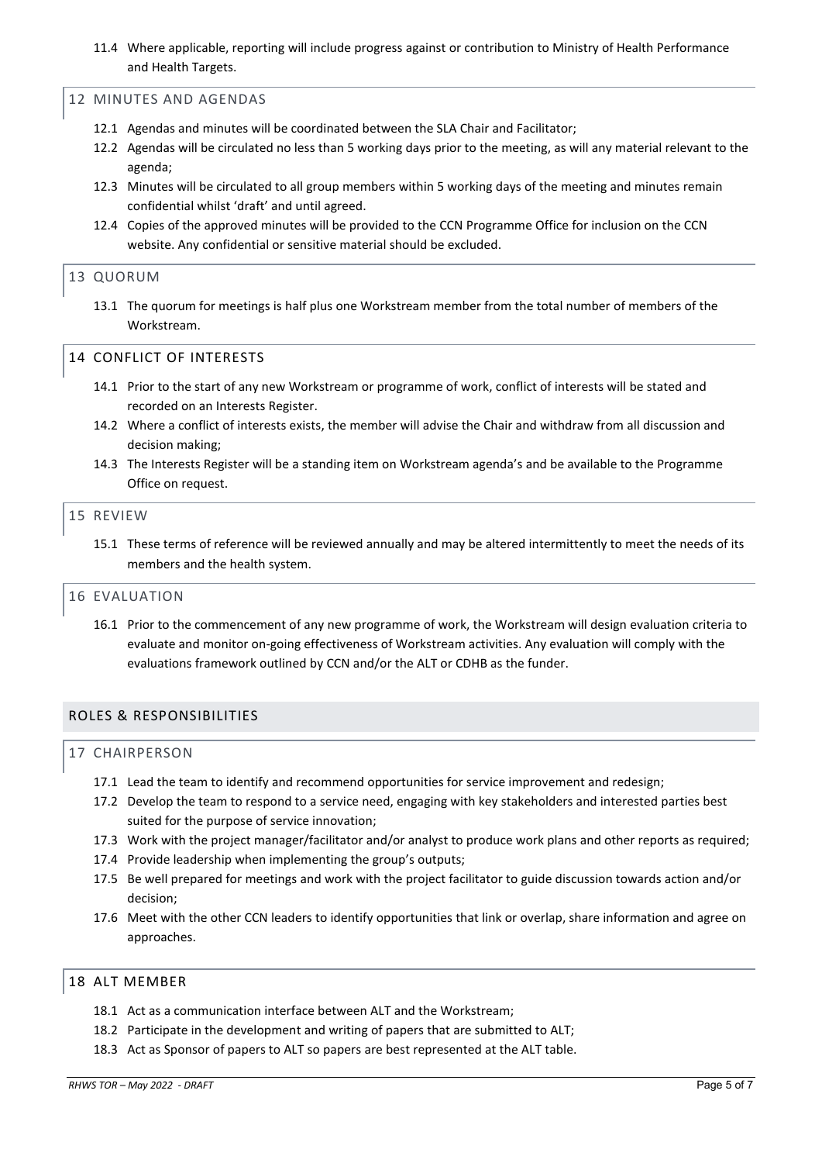11.4 Where applicable, reporting will include progress against or contribution to Ministry of Health Performance and Health Targets.

#### 12 MINUTES AND AGENDAS

- 12.1 Agendas and minutes will be coordinated between the SLA Chair and Facilitator;
- 12.2 Agendas will be circulated no less than 5 working days prior to the meeting, as will any material relevant to the agenda;
- 12.3 Minutes will be circulated to all group members within 5 working days of the meeting and minutes remain confidential whilst 'draft' and until agreed.
- 12.4 Copies of the approved minutes will be provided to the CCN Programme Office for inclusion on the CCN website. Any confidential or sensitive material should be excluded.

#### 13 QUORUM

13.1 The quorum for meetings is half plus one Workstream member from the total number of members of the Workstream.

## 14 CONFLICT OF INTERESTS

- 14.1 Prior to the start of any new Workstream or programme of work, conflict of interests will be stated and recorded on an Interests Register.
- 14.2 Where a conflict of interests exists, the member will advise the Chair and withdraw from all discussion and decision making;
- 14.3 The Interests Register will be a standing item on Workstream agenda's and be available to the Programme Office on request.

#### 15 REVIEW

15.1 These terms of reference will be reviewed annually and may be altered intermittently to meet the needs of its members and the health system.

#### 16 EVALUATION

16.1 Prior to the commencement of any new programme of work, the Workstream will design evaluation criteria to evaluate and monitor on-going effectiveness of Workstream activities. Any evaluation will comply with the evaluations framework outlined by CCN and/or the ALT or CDHB as the funder.

## ROLES & RESPONSIBILITIES

#### 17 CHAIRPERSON

- 17.1 Lead the team to identify and recommend opportunities for service improvement and redesign;
- 17.2 Develop the team to respond to a service need, engaging with key stakeholders and interested parties best suited for the purpose of service innovation;
- 17.3 Work with the project manager/facilitator and/or analyst to produce work plans and other reports as required;
- 17.4 Provide leadership when implementing the group's outputs;
- 17.5 Be well prepared for meetings and work with the project facilitator to guide discussion towards action and/or decision;
- 17.6 Meet with the other CCN leaders to identify opportunities that link or overlap, share information and agree on approaches.

#### 18 ALT MEMBER

- 18.1 Act as a communication interface between ALT and the Workstream;
- 18.2 Participate in the development and writing of papers that are submitted to ALT;
- 18.3 Act as Sponsor of papers to ALT so papers are best represented at the ALT table.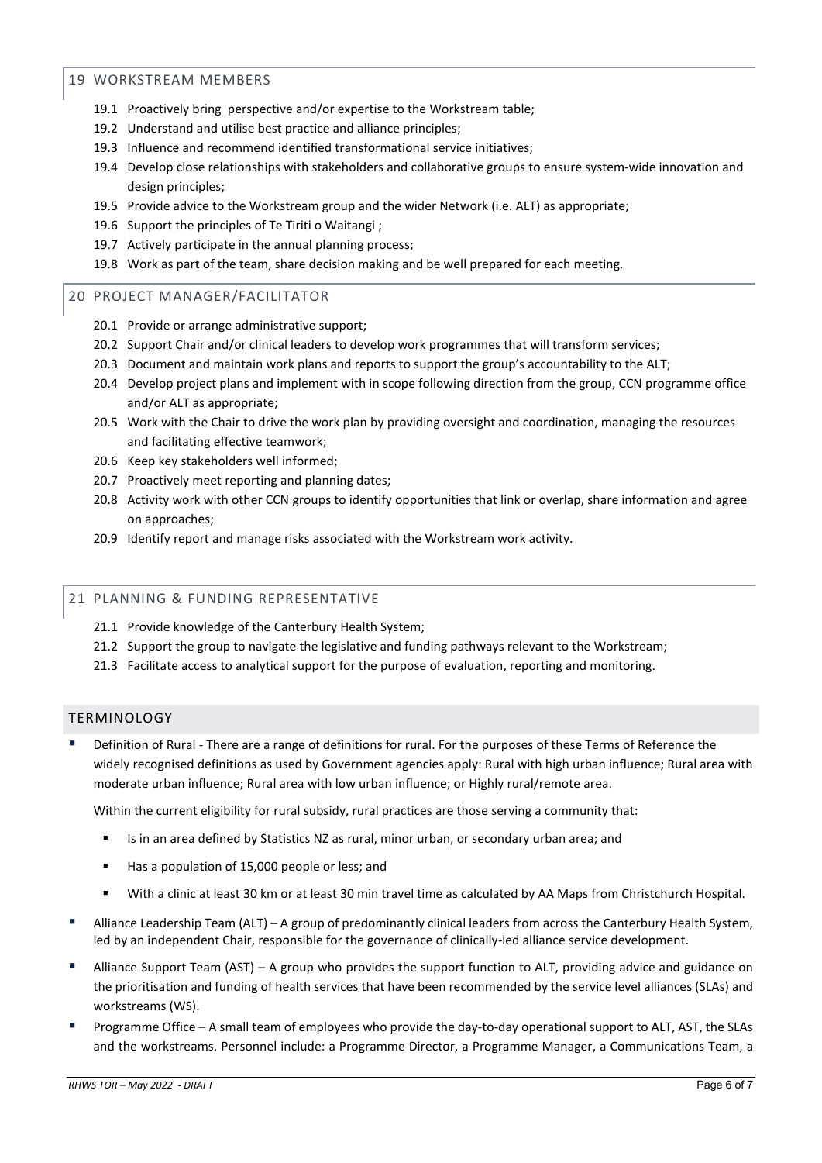## 19 WORKSTREAM MEMBERS

- 19.1 Proactively bring perspective and/or expertise to the Workstream table;
- 19.2 Understand and utilise best practice and alliance principles;
- 19.3 Influence and recommend identified transformational service initiatives;
- 19.4 Develop close relationships with stakeholders and collaborative groups to ensure system-wide innovation and design principles;
- 19.5 Provide advice to the Workstream group and the wider Network (i.e. ALT) as appropriate;
- 19.6 Support the principles of Te Tiriti o Waitangi ;
- 19.7 Actively participate in the annual planning process;
- 19.8 Work as part of the team, share decision making and be well prepared for each meeting.

## 20 PROJECT MANAGER/FACILITATOR

- 20.1 Provide or arrange administrative support;
- 20.2 Support Chair and/or clinical leaders to develop work programmes that will transform services;
- 20.3 Document and maintain work plans and reports to support the group's accountability to the ALT;
- 20.4 Develop project plans and implement with in scope following direction from the group, CCN programme office and/or ALT as appropriate;
- 20.5 Work with the Chair to drive the work plan by providing oversight and coordination, managing the resources and facilitating effective teamwork;
- 20.6 Keep key stakeholders well informed;
- 20.7 Proactively meet reporting and planning dates;
- 20.8 Activity work with other CCN groups to identify opportunities that link or overlap, share information and agree on approaches;
- 20.9 Identify report and manage risks associated with the Workstream work activity.

# 21 PLANNING & FUNDING REPRESENTATIVE

- 21.1 Provide knowledge of the Canterbury Health System;
- 21.2 Support the group to navigate the legislative and funding pathways relevant to the Workstream;
- 21.3 Facilitate access to analytical support for the purpose of evaluation, reporting and monitoring.

## TERMINOLOGY

 Definition of Rural - There are a range of definitions for rural. For the purposes of these Terms of Reference the widely recognised definitions as used by Government agencies apply: Rural with high urban influence; Rural area with moderate urban influence; Rural area with low urban influence; or Highly rural/remote area.

Within the current eligibility for rural subsidy, rural practices are those serving a community that:

- Is in an area defined by Statistics NZ as rural, minor urban, or secondary urban area; and
- Has a population of 15,000 people or less; and
- With a clinic at least 30 km or at least 30 min travel time as calculated by AA Maps from Christchurch Hospital.
- Alliance Leadership Team (ALT) A group of predominantly clinical leaders from across the Canterbury Health System, led by an independent Chair, responsible for the governance of clinically-led alliance service development.
- Alliance Support Team (AST) A group who provides the support function to ALT, providing advice and guidance on the prioritisation and funding of health services that have been recommended by the service level alliances (SLAs) and workstreams (WS).
- Programme Office A small team of employees who provide the day-to-day operational support to ALT, AST, the SLAs and the workstreams. Personnel include: a Programme Director, a Programme Manager, a Communications Team, a